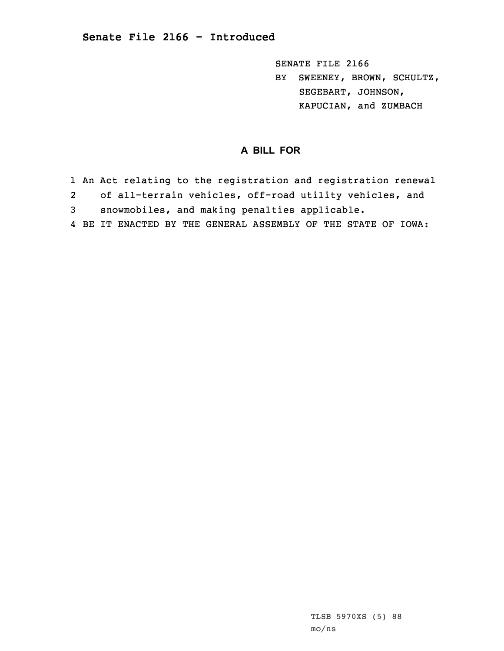SENATE FILE 2166

BY SWEENEY, BROWN, SCHULTZ, SEGEBART, JOHNSON, KAPUCIAN, and ZUMBACH

## **A BILL FOR**

1 An Act relating to the registration and registration renewal 2 of all-terrain vehicles, off-road utility vehicles, and 3 snowmobiles, and making penalties applicable. 4 BE IT ENACTED BY THE GENERAL ASSEMBLY OF THE STATE OF IOWA: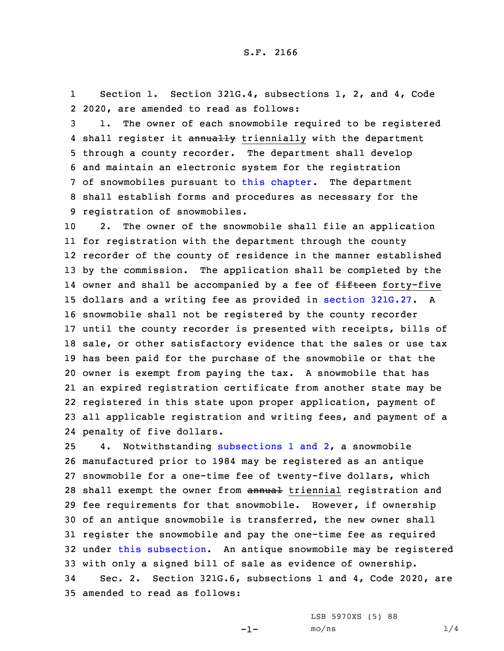1 Section 1. Section 321G.4, subsections 1, 2, and 4, Code 2 2020, are amended to read as follows:

 1. The owner of each snowmobile required to be registered 4 shall register it annually triennially with the department through <sup>a</sup> county recorder. The department shall develop and maintain an electronic system for the registration of snowmobiles pursuant to this [chapter](https://www.legis.iowa.gov/docs/code/2020/321G.pdf). The department shall establish forms and procedures as necessary for the registration of snowmobiles.

 2. The owner of the snowmobile shall file an application for registration with the department through the county recorder of the county of residence in the manner established by the commission. The application shall be completed by the 14 owner and shall be accompanied by a fee of <del>fifteen</del> forty-five dollars and <sup>a</sup> writing fee as provided in section [321G.27](https://www.legis.iowa.gov/docs/code/2020/321G.27.pdf). <sup>A</sup> snowmobile shall not be registered by the county recorder until the county recorder is presented with receipts, bills of sale, or other satisfactory evidence that the sales or use tax has been paid for the purchase of the snowmobile or that the owner is exempt from paying the tax. <sup>A</sup> snowmobile that has an expired registration certificate from another state may be registered in this state upon proper application, payment of all applicable registration and writing fees, and payment of <sup>a</sup> penalty of five dollars.

 4. Notwithstanding [subsections](https://www.legis.iowa.gov/docs/code/2020/321G.4.pdf) 1 and 2, <sup>a</sup> snowmobile manufactured prior to 1984 may be registered as an antique snowmobile for <sup>a</sup> one-time fee of twenty-five dollars, which 28 shall exempt the owner from annual triennial registration and fee requirements for that snowmobile. However, if ownership of an antique snowmobile is transferred, the new owner shall register the snowmobile and pay the one-time fee as required under this [subsection](https://www.legis.iowa.gov/docs/code/2020/321G.4.pdf). An antique snowmobile may be registered with only <sup>a</sup> signed bill of sale as evidence of ownership. Sec. 2. Section 321G.6, subsections 1 and 4, Code 2020, are amended to read as follows:

LSB 5970XS (5) 88

-1-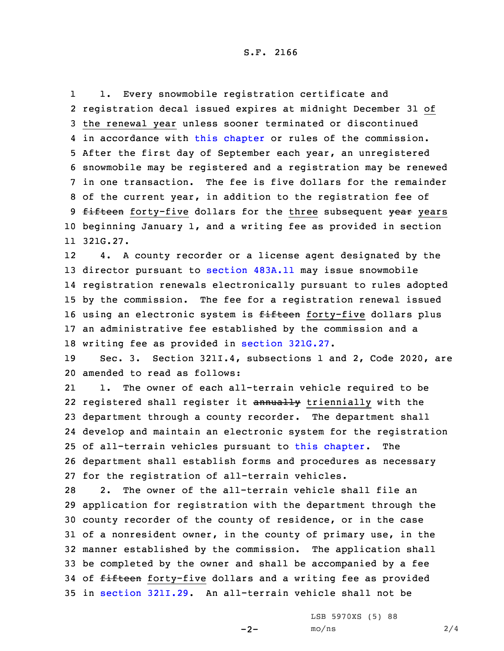1 1. Every snowmobile registration certificate and 2 registration decal issued expires at midnight December 31 of 3 the renewal year unless sooner terminated or discontinued 4 in accordance with this [chapter](https://www.legis.iowa.gov/docs/code/2020/321G.pdf) or rules of the commission. 5 After the first day of September each year, an unregistered 6 snowmobile may be registered and <sup>a</sup> registration may be renewed 7 in one transaction. The fee is five dollars for the remainder 8 of the current year, in addition to the registration fee of 9 fifteen forty-five dollars for the three subsequent year years 10 beginning January 1, and <sup>a</sup> writing fee as provided in section 11 321G.27.

12 4. <sup>A</sup> county recorder or <sup>a</sup> license agent designated by the director pursuant to [section](https://www.legis.iowa.gov/docs/code/2020/483A.11.pdf) 483A.11 may issue snowmobile registration renewals electronically pursuant to rules adopted by the commission. The fee for <sup>a</sup> registration renewal issued 16 using an electronic system is fifteen forty-five dollars plus an administrative fee established by the commission and <sup>a</sup> writing fee as provided in section [321G.27](https://www.legis.iowa.gov/docs/code/2020/321G.27.pdf).

19 Sec. 3. Section 321I.4, subsections 1 and 2, Code 2020, are 20 amended to read as follows:

21 1. The owner of each all-terrain vehicle required to be 22 registered shall register it annually triennially with the department through <sup>a</sup> county recorder. The department shall develop and maintain an electronic system for the registration of all-terrain vehicles pursuant to this [chapter](https://www.legis.iowa.gov/docs/code/2020/321I.pdf). The department shall establish forms and procedures as necessary for the registration of all-terrain vehicles.

 2. The owner of the all-terrain vehicle shall file an application for registration with the department through the county recorder of the county of residence, or in the case of <sup>a</sup> nonresident owner, in the county of primary use, in the manner established by the commission. The application shall be completed by the owner and shall be accompanied by <sup>a</sup> fee 34 of fifteen forty-five dollars and a writing fee as provided in [section](https://www.legis.iowa.gov/docs/code/2020/321I.29.pdf) 321I.29. An all-terrain vehicle shall not be

 $-2-$ 

LSB 5970XS (5) 88  $mo/ns$  2/4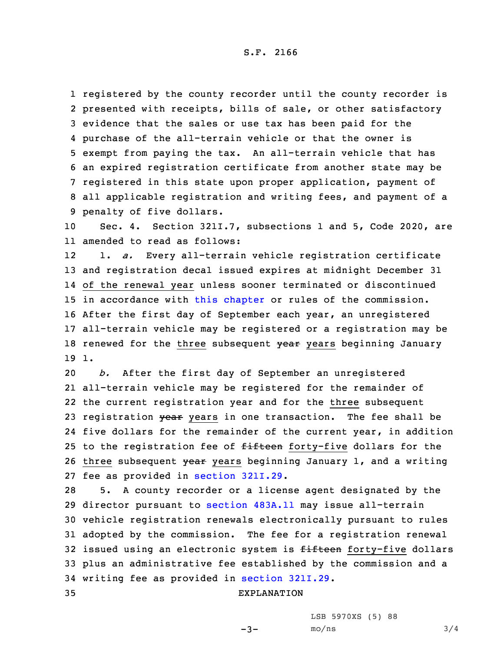S.F. 2166

 registered by the county recorder until the county recorder is presented with receipts, bills of sale, or other satisfactory evidence that the sales or use tax has been paid for the purchase of the all-terrain vehicle or that the owner is exempt from paying the tax. An all-terrain vehicle that has an expired registration certificate from another state may be registered in this state upon proper application, payment of all applicable registration and writing fees, and payment of <sup>a</sup> penalty of five dollars.

10 Sec. 4. Section 321I.7, subsections 1 and 5, Code 2020, are 11 amended to read as follows:

12 1. *a.* Every all-terrain vehicle registration certificate 13 and registration decal issued expires at midnight December 31 14 of the renewal year unless sooner terminated or discontinued 15 in accordance with this [chapter](https://www.legis.iowa.gov/docs/code/2020/321I.pdf) or rules of the commission. 16 After the first day of September each year, an unregistered 17 all-terrain vehicle may be registered or <sup>a</sup> registration may be 18 renewed for the three subsequent  $\frac{18}{18}$  years beginning January 19 1.

 *b.* After the first day of September an unregistered all-terrain vehicle may be registered for the remainder of the current registration year and for the three subsequent 23 registration year years in one transaction. The fee shall be five dollars for the remainder of the current year, in addition 25 to the registration fee of fifteen forty-five dollars for the 26 three subsequent year years beginning January 1, and a writing fee as provided in section [321I.29](https://www.legis.iowa.gov/docs/code/2020/321I.29.pdf).

 5. <sup>A</sup> county recorder or <sup>a</sup> license agent designated by the director pursuant to [section](https://www.legis.iowa.gov/docs/code/2020/483A.11.pdf) 483A.11 may issue all-terrain vehicle registration renewals electronically pursuant to rules adopted by the commission. The fee for <sup>a</sup> registration renewal 32 issued using an electronic system is fifteen forty-five dollars plus an administrative fee established by the commission and <sup>a</sup> writing fee as provided in section [321I.29](https://www.legis.iowa.gov/docs/code/2020/321I.29.pdf).

## 35 EXPLANATION

LSB 5970XS (5) 88

 $-3-$